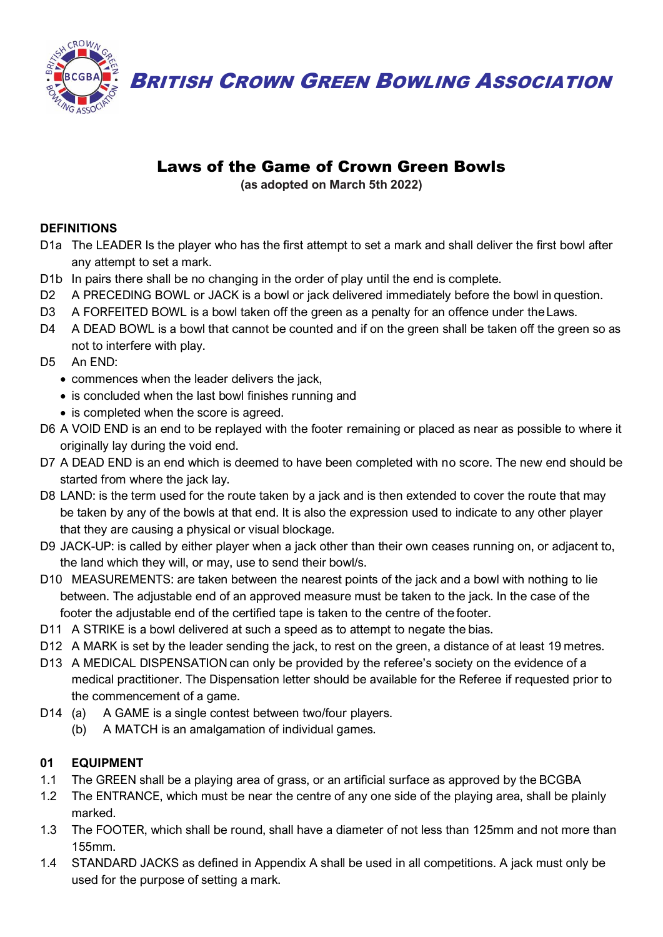

**BRITISH CROWN GREEN BOWLING ASSOCIATION** 

# Laws of the Game of Crown Green Bowls

**(as adopted on March 5th 2022)**

## **DEFINITIONS**

- D1a The LEADER Is the player who has the first attempt to set a mark and shall deliver the first bowl after any attempt to set a mark.
- D1b In pairs there shall be no changing in the order of play until the end is complete.
- D2 A PRECEDING BOWL or JACK is a bowl or jack delivered immediately before the bowl in question.
- D3 A FORFEITED BOWL is a bowl taken off the green as a penalty for an offence under the Laws.
- D4 A DEAD BOWL is a bowl that cannot be counted and if on the green shall be taken off the green so as not to interfere with play.
- D5 An END:
	- commences when the leader delivers the jack,
	- is concluded when the last bowl finishes running and
	- is completed when the score is agreed.
- D6 A VOID END is an end to be replayed with the footer remaining or placed as near as possible to where it originally lay during the void end.
- D7 A DEAD END is an end which is deemed to have been completed with no score. The new end should be started from where the jack lay.
- D8 LAND: is the term used for the route taken by a jack and is then extended to cover the route that may be taken by any of the bowls at that end. It is also the expression used to indicate to any other player that they are causing a physical or visual blockage.
- D9 JACK-UP: is called by either player when a jack other than their own ceases running on, or adjacent to, the land which they will, or may, use to send their bowl/s.
- D10 MEASUREMENTS: are taken between the nearest points of the jack and a bowl with nothing to lie between. The adjustable end of an approved measure must be taken to the jack. In the case of the footer the adjustable end of the certified tape is taken to the centre of the footer.
- D11 A STRIKE is a bowl delivered at such a speed as to attempt to negate the bias.
- D12 A MARK is set by the leader sending the jack, to rest on the green, a distance of at least 19 metres.
- D13 A MEDICAL DISPENSATION can only be provided by the referee's society on the evidence of a medical practitioner. The Dispensation letter should be available for the Referee if requested prior to the commencement of a game.
- D14 (a) A GAME is a single contest between two/four players.
	- (b) A MATCH is an amalgamation of individual games.

# **01 EQUIPMENT**

- 1.1 The GREEN shall be a playing area of grass, or an artificial surface as approved by the BCGBA
- 1.2 The ENTRANCE, which must be near the centre of any one side of the playing area, shall be plainly marked.
- 1.3 The FOOTER, which shall be round, shall have a diameter of not less than 125mm and not more than 155mm.
- 1.4 STANDARD JACKS as defined in Appendix A shall be used in all competitions. A jack must only be used for the purpose of setting a mark.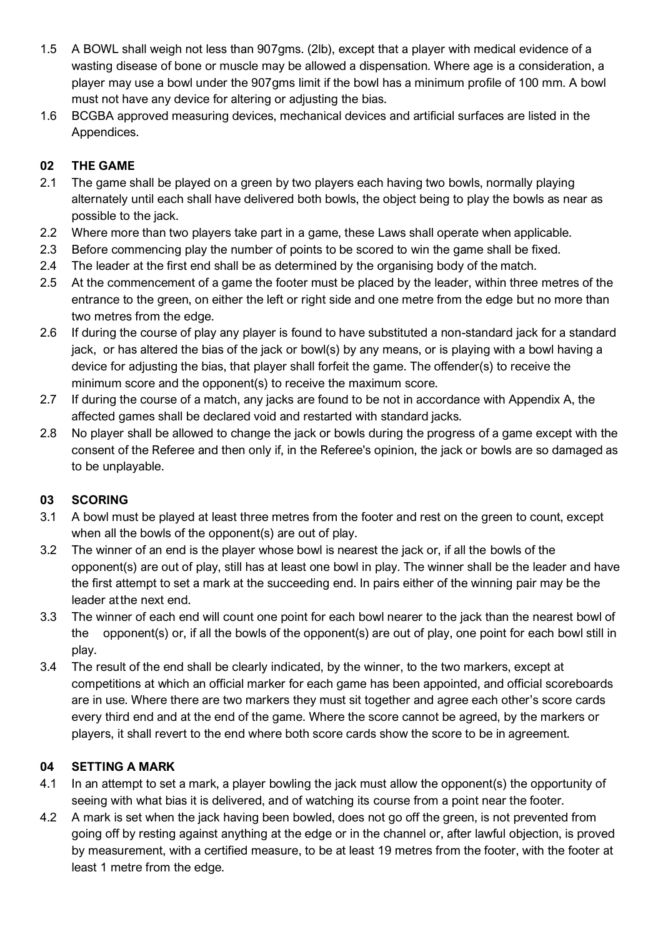- 1.5 A BOWL shall weigh not less than 907gms. (2lb), except that a player with medical evidence of a wasting disease of bone or muscle may be allowed a dispensation. Where age is a consideration, a player may use a bowl under the 907gms limit if the bowl has a minimum profile of 100 mm. A bowl must not have any device for altering or adjusting the bias.
- 1.6 BCGBA approved measuring devices, mechanical devices and artificial surfaces are listed in the Appendices.

#### **02 THE GAME**

- 2.1 The game shall be played on a green by two players each having two bowls, normally playing alternately until each shall have delivered both bowls, the object being to play the bowls as near as possible to the jack.
- 2.2 Where more than two players take part in a game, these Laws shall operate when applicable.
- 2.3 Before commencing play the number of points to be scored to win the game shall be fixed.
- 2.4 The leader at the first end shall be as determined by the organising body of the match.
- 2.5 At the commencement of a game the footer must be placed by the leader, within three metres of the entrance to the green, on either the left or right side and one metre from the edge but no more than two metres from the edge.
- 2.6 If during the course of play any player is found to have substituted a non-standard jack for a standard jack, or has altered the bias of the jack or bowl(s) by any means, or is playing with a bowl having a device for adjusting the bias, that player shall forfeit the game. The offender(s) to receive the minimum score and the opponent(s) to receive the maximum score.
- 2.7 If during the course of a match, any jacks are found to be not in accordance with Appendix A, the affected games shall be declared void and restarted with standard jacks.
- 2.8 No player shall be allowed to change the jack or bowls during the progress of a game except with the consent of the Referee and then only if, in the Referee's opinion, the jack or bowls are so damaged as to be unplayable.

#### **03 SCORING**

- 3.1 A bowl must be played at least three metres from the footer and rest on the green to count, except when all the bowls of the opponent(s) are out of play.
- 3.2 The winner of an end is the player whose bowl is nearest the jack or, if all the bowls of the opponent(s) are out of play, still has at least one bowl in play. The winner shall be the leader and have the first attempt to set a mark at the succeeding end. In pairs either of the winning pair may be the leader atthe next end.
- 3.3 The winner of each end will count one point for each bowl nearer to the jack than the nearest bowl of the opponent(s) or, if all the bowls of the opponent(s) are out of play, one point for each bowl still in play.
- 3.4 The result of the end shall be clearly indicated, by the winner, to the two markers, except at competitions at which an official marker for each game has been appointed, and official scoreboards are in use. Where there are two markers they must sit together and agree each other's score cards every third end and at the end of the game. Where the score cannot be agreed, by the markers or players, it shall revert to the end where both score cards show the score to be in agreement.

#### **04 SETTING A MARK**

- 4.1 In an attempt to set a mark, a player bowling the jack must allow the opponent(s) the opportunity of seeing with what bias it is delivered, and of watching its course from a point near the footer.
- 4.2 A mark is set when the jack having been bowled, does not go off the green, is not prevented from going off by resting against anything at the edge or in the channel or, after lawful objection, is proved by measurement, with a certified measure, to be at least 19 metres from the footer, with the footer at least 1 metre from the edge.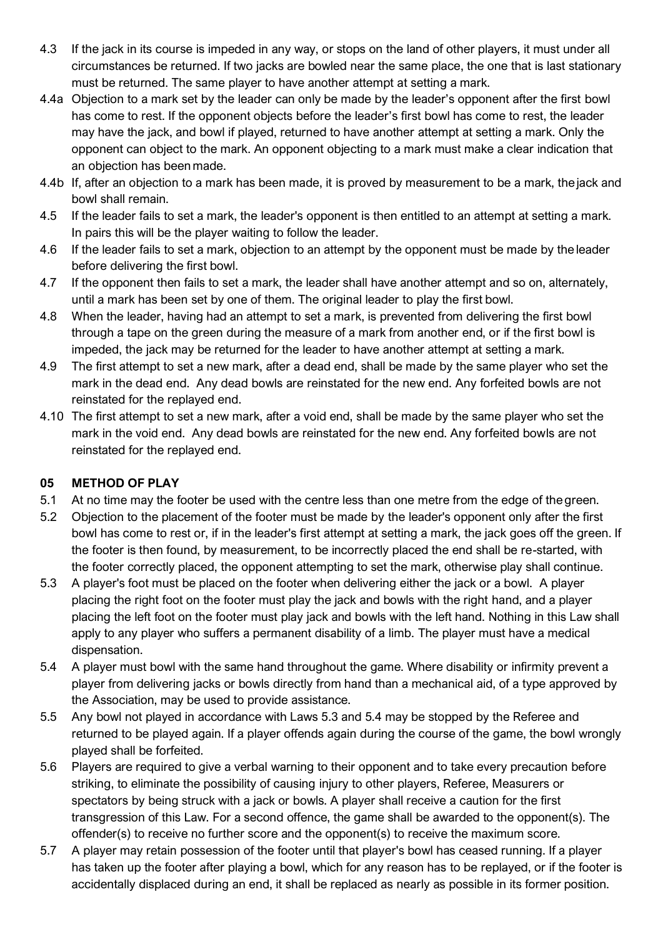- 4.3 If the jack in its course is impeded in any way, or stops on the land of other players, it must under all circumstances be returned. If two jacks are bowled near the same place, the one that is last stationary must be returned. The same player to have another attempt at setting a mark.
- 4.4a Objection to a mark set by the leader can only be made by the leader's opponent after the first bowl has come to rest. If the opponent objects before the leader's first bowl has come to rest, the leader may have the jack, and bowl if played, returned to have another attempt at setting a mark. Only the opponent can object to the mark. An opponent objecting to a mark must make a clear indication that an objection has been made.
- 4.4b If, after an objection to a mark has been made, it is proved by measurement to be a mark, the jack and bowl shall remain.
- 4.5 If the leader fails to set a mark, the leader's opponent is then entitled to an attempt at setting a mark. In pairs this will be the player waiting to follow the leader.
- 4.6 If the leader fails to set a mark, objection to an attempt by the opponent must be made by theleader before delivering the first bowl.
- 4.7 If the opponent then fails to set a mark, the leader shall have another attempt and so on, alternately, until a mark has been set by one of them. The original leader to play the first bowl.
- 4.8 When the leader, having had an attempt to set a mark, is prevented from delivering the first bowl through a tape on the green during the measure of a mark from another end, or if the first bowl is impeded, the jack may be returned for the leader to have another attempt at setting a mark.
- 4.9 The first attempt to set a new mark, after a dead end, shall be made by the same player who set the mark in the dead end. Any dead bowls are reinstated for the new end. Any forfeited bowls are not reinstated for the replayed end.
- 4.10 The first attempt to set a new mark, after a void end, shall be made by the same player who set the mark in the void end. Any dead bowls are reinstated for the new end. Any forfeited bowls are not reinstated for the replayed end.

#### **05 METHOD OF PLAY**

- 5.1 At no time may the footer be used with the centre less than one metre from the edge of thegreen.
- 5.2 Objection to the placement of the footer must be made by the leader's opponent only after the first bowl has come to rest or, if in the leader's first attempt at setting a mark, the jack goes off the green. If the footer is then found, by measurement, to be incorrectly placed the end shall be re-started, with the footer correctly placed, the opponent attempting to set the mark, otherwise play shall continue.
- 5.3 A player's foot must be placed on the footer when delivering either the jack or a bowl. A player placing the right foot on the footer must play the jack and bowls with the right hand, and a player placing the left foot on the footer must play jack and bowls with the left hand. Nothing in this Law shall apply to any player who suffers a permanent disability of a limb. The player must have a medical dispensation.
- 5.4 A player must bowl with the same hand throughout the game. Where disability or infirmity prevent a player from delivering jacks or bowls directly from hand than a mechanical aid, of a type approved by the Association, may be used to provide assistance.
- 5.5 Any bowl not played in accordance with Laws 5.3 and 5.4 may be stopped by the Referee and returned to be played again. If a player offends again during the course of the game, the bowl wrongly played shall be forfeited.
- 5.6 Players are required to give a verbal warning to their opponent and to take every precaution before striking, to eliminate the possibility of causing injury to other players, Referee, Measurers or spectators by being struck with a jack or bowls. A player shall receive a caution for the first transgression of this Law. For a second offence, the game shall be awarded to the opponent(s). The offender(s) to receive no further score and the opponent(s) to receive the maximum score.
- 5.7 A player may retain possession of the footer until that player's bowl has ceased running. If a player has taken up the footer after playing a bowl, which for any reason has to be replayed, or if the footer is accidentally displaced during an end, it shall be replaced as nearly as possible in its former position.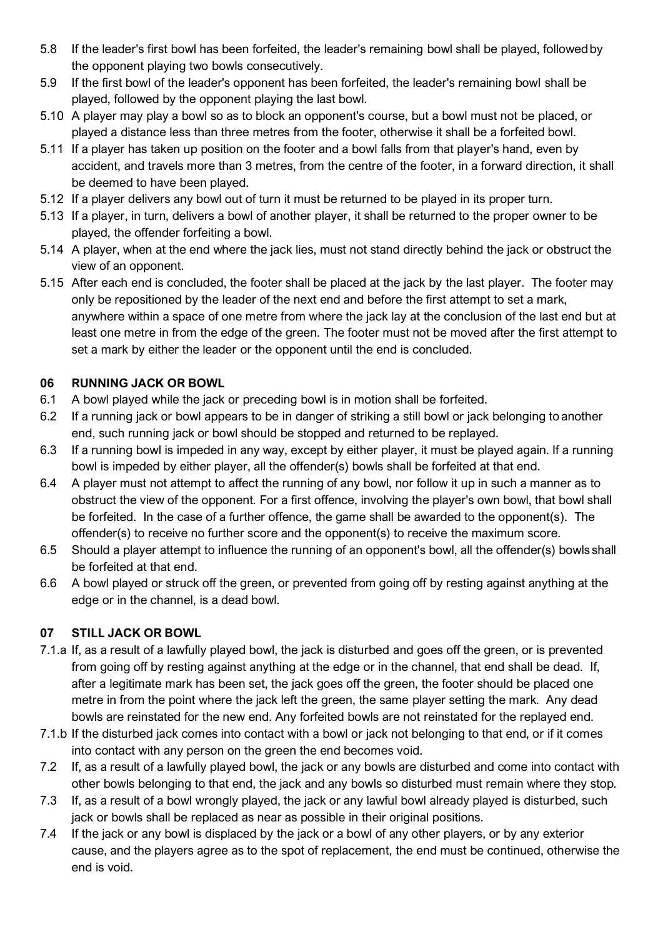- 5.8 If the leader's first bowl has been forfeited, the leader's remaining bowl shall be played, followedby the opponent playing two bowls consecutively.
- 5.9 If the first bowl of the leader's opponent has been forfeited, the leader's remaining bowl shall be played, followed by the opponent playing the last bowl.
- 5.10 A player may play a bowl so as to block an opponent's course, but a bowl must not be placed, or played a distance less than three metres from the footer, otherwise it shall be a forfeited bowl.
- 5.11 If a player has taken up position on the footer and a bowl falls from that player's hand, even by accident, and travels more than 3 metres, from the centre of the footer, in a forward direction, it shall be deemed to have been played.
- 5.12 If a player delivers any bowl out of turn it must be returned to be played in its proper turn.
- 5.13 If a player, in turn, delivers a bowl of another player, it shall be returned to the proper owner to be played, the offender forfeiting a bowl.
- 5.14 A player, when at the end where the jack lies, must not stand directly behind the jack or obstruct the view of an opponent.
- 5.15 After each end is concluded, the footer shall be placed at the jack by the last player. The footer may only be repositioned by the leader of the next end and before the first attempt to set a mark, anywhere within a space of one metre from where the jack lay at the conclusion of the last end but at least one metre in from the edge of the green. The footer must not be moved after the first attempt to set a mark by either the leader or the opponent until the end is concluded.

#### **06 RUNNING JACK OR BOWL**

- 6.1 A bowl played while the jack or preceding bowl is in motion shall be forfeited.
- 6.2 If a running jack or bowl appears to be in danger of striking a still bowl or jack belonging to another end, such running jack or bowl should be stopped and returned to be replayed.
- 6.3 If a running bowl is impeded in any way, except by either player, it must be played again. If a running bowl is impeded by either player, all the offender(s) bowls shall be forfeited at that end.
- 6.4 A player must not attempt to affect the running of any bowl, nor follow it up in such a manner as to obstruct the view of the opponent. For a first offence, involving the player's own bowl, that bowl shall be forfeited. In the case of a further offence, the game shall be awarded to the opponent(s). The offender(s) to receive no further score and the opponent(s) to receive the maximum score.
- 6.5 Should a player attempt to influence the running of an opponent's bowl, all the offender(s) bowls shall be forfeited at that end.
- 6.6 A bowl played or struck off the green, or prevented from going off by resting against anything at the edge or in the channel, is a dead bowl.

## **07 STILL JACK OR BOWL**

- 7.1.a If, as a result of a lawfully played bowl, the jack is disturbed and goes off the green, or is prevented from going off by resting against anything at the edge or in the channel, that end shall be dead. If, after a legitimate mark has been set, the jack goes off the green, the footer should be placed one metre in from the point where the jack left the green, the same player setting the mark. Any dead bowls are reinstated for the new end. Any forfeited bowls are not reinstated for the replayed end.
- 7.1.b If the disturbed jack comes into contact with a bowl or jack not belonging to that end, or if it comes into contact with any person on the green the end becomes void.
- 7.2 If, as a result of a lawfully played bowl, the jack or any bowls are disturbed and come into contact with other bowls belonging to that end, the jack and any bowls so disturbed must remain where they stop.
- 7.3 If, as a result of a bowl wrongly played, the jack or any lawful bowl already played is disturbed, such jack or bowls shall be replaced as near as possible in their original positions.
- 7.4 If the jack or any bowl is displaced by the jack or a bowl of any other players, or by any exterior cause, and the players agree as to the spot of replacement, the end must be continued, otherwise the end is void.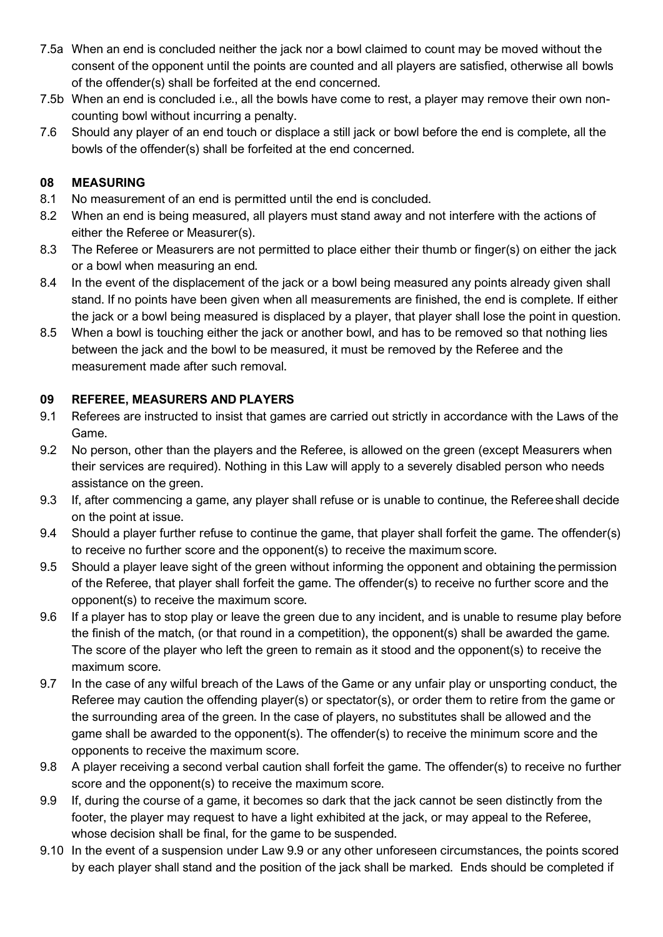- 7.5a When an end is concluded neither the jack nor a bowl claimed to count may be moved without the consent of the opponent until the points are counted and all players are satisfied, otherwise all bowls of the offender(s) shall be forfeited at the end concerned.
- 7.5b When an end is concluded i.e., all the bowls have come to rest, a player may remove their own noncounting bowl without incurring a penalty.
- 7.6 Should any player of an end touch or displace a still jack or bowl before the end is complete, all the bowls of the offender(s) shall be forfeited at the end concerned.

#### **08 MEASURING**

- 8.1 No measurement of an end is permitted until the end is concluded.
- 8.2 When an end is being measured, all players must stand away and not interfere with the actions of either the Referee or Measurer(s).
- 8.3 The Referee or Measurers are not permitted to place either their thumb or finger(s) on either the jack or a bowl when measuring an end.
- 8.4 In the event of the displacement of the jack or a bowl being measured any points already given shall stand. If no points have been given when all measurements are finished, the end is complete. If either the jack or a bowl being measured is displaced by a player, that player shall lose the point in question.
- 8.5 When a bowl is touching either the jack or another bowl, and has to be removed so that nothing lies between the jack and the bowl to be measured, it must be removed by the Referee and the measurement made after such removal.

## **09 REFEREE, MEASURERS AND PLAYERS**

- 9.1 Referees are instructed to insist that games are carried out strictly in accordance with the Laws of the Game.
- 9.2 No person, other than the players and the Referee, is allowed on the green (except Measurers when their services are required). Nothing in this Law will apply to a severely disabled person who needs assistance on the green.
- 9.3 If, after commencing a game, any player shall refuse or is unable to continue, the Refereeshall decide on the point at issue.
- 9.4 Should a player further refuse to continue the game, that player shall forfeit the game. The offender(s) to receive no further score and the opponent(s) to receive the maximum score.
- 9.5 Should a player leave sight of the green without informing the opponent and obtaining the permission of the Referee, that player shall forfeit the game. The offender(s) to receive no further score and the opponent(s) to receive the maximum score.
- 9.6 If a player has to stop play or leave the green due to any incident, and is unable to resume play before the finish of the match, (or that round in a competition), the opponent(s) shall be awarded the game. The score of the player who left the green to remain as it stood and the opponent(s) to receive the maximum score.
- 9.7 In the case of any wilful breach of the Laws of the Game or any unfair play or unsporting conduct, the Referee may caution the offending player(s) or spectator(s), or order them to retire from the game or the surrounding area of the green. In the case of players, no substitutes shall be allowed and the game shall be awarded to the opponent(s). The offender(s) to receive the minimum score and the opponents to receive the maximum score.
- 9.8 A player receiving a second verbal caution shall forfeit the game. The offender(s) to receive no further score and the opponent(s) to receive the maximum score.
- 9.9 If, during the course of a game, it becomes so dark that the jack cannot be seen distinctly from the footer, the player may request to have a light exhibited at the jack, or may appeal to the Referee, whose decision shall be final, for the game to be suspended.
- 9.10 In the event of a suspension under Law 9.9 or any other unforeseen circumstances, the points scored by each player shall stand and the position of the jack shall be marked. Ends should be completed if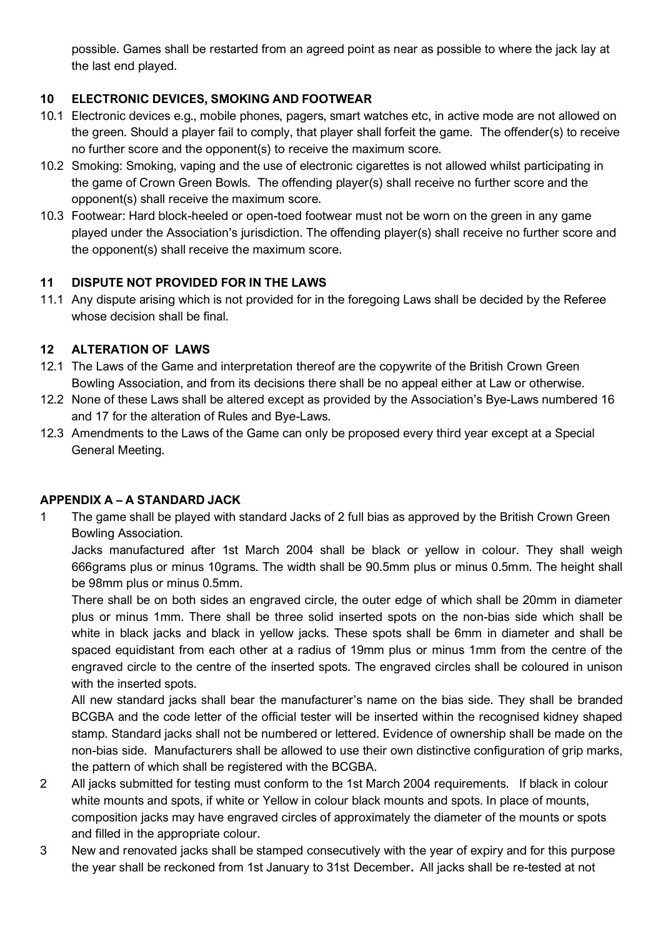possible. Games shall be restarted from an agreed point as near as possible to where the jack lay at the last end played.

# **10 ELECTRONIC DEVICES, SMOKING AND FOOTWEAR**

- 10.1 Electronic devices e.g., mobile phones, pagers, smart watches etc, in active mode are not allowed on the green. Should a player fail to comply, that player shall forfeit the game. The offender(s) to receive no further score and the opponent(s) to receive the maximum score.
- 10.2 Smoking: Smoking, vaping and the use of electronic cigarettes is not allowed whilst participating in the game of Crown Green Bowls. The offending player(s) shall receive no further score and the opponent(s) shall receive the maximum score.
- 10.3 Footwear: Hard block-heeled or open-toed footwear must not be worn on the green in any game played under the Association's jurisdiction. The offending player(s) shall receive no further score and the opponent(s) shall receive the maximum score.

## **11 DISPUTE NOT PROVIDED FOR IN THE LAWS**

11.1 Any dispute arising which is not provided for in the foregoing Laws shall be decided by the Referee whose decision shall be final.

# **12 ALTERATION OF LAWS**

- 12.1 The Laws of the Game and interpretation thereof are the copywrite of the British Crown Green Bowling Association, and from its decisions there shall be no appeal either at Law or otherwise.
- 12.2 None of these Laws shall be altered except as provided by the Association's Bye-Laws numbered 16 and 17 for the alteration of Rules and Bye-Laws.
- 12.3 Amendments to the Laws of the Game can only be proposed every third year except at a Special General Meeting.

## **APPENDIX A – A STANDARD JACK**

1 The game shall be played with standard Jacks of 2 full bias as approved by the British Crown Green Bowling Association.

Jacks manufactured after 1st March 2004 shall be black or yellow in colour. They shall weigh 666grams plus or minus 10grams. The width shall be 90.5mm plus or minus 0.5mm. The height shall be 98mm plus or minus 0.5mm.

There shall be on both sides an engraved circle, the outer edge of which shall be 20mm in diameter plus or minus 1mm. There shall be three solid inserted spots on the non-bias side which shall be white in black jacks and black in yellow jacks. These spots shall be 6mm in diameter and shall be spaced equidistant from each other at a radius of 19mm plus or minus 1mm from the centre of the engraved circle to the centre of the inserted spots. The engraved circles shall be coloured in unison with the inserted spots.

All new standard jacks shall bear the manufacturer's name on the bias side. They shall be branded BCGBA and the code letter of the official tester will be inserted within the recognised kidney shaped stamp. Standard jacks shall not be numbered or lettered. Evidence of ownership shall be made on the non-bias side. Manufacturers shall be allowed to use their own distinctive configuration of grip marks, the pattern of which shall be registered with the BCGBA.

- 2 All jacks submitted for testing must conform to the 1st March 2004 requirements. If black in colour white mounts and spots, if white or Yellow in colour black mounts and spots. In place of mounts, composition jacks may have engraved circles of approximately the diameter of the mounts or spots and filled in the appropriate colour.
- 3 New and renovated jacks shall be stamped consecutively with the year of expiry and for this purpose the year shall be reckoned from 1st January to 31st December**.** All jacks shall be re-tested at not